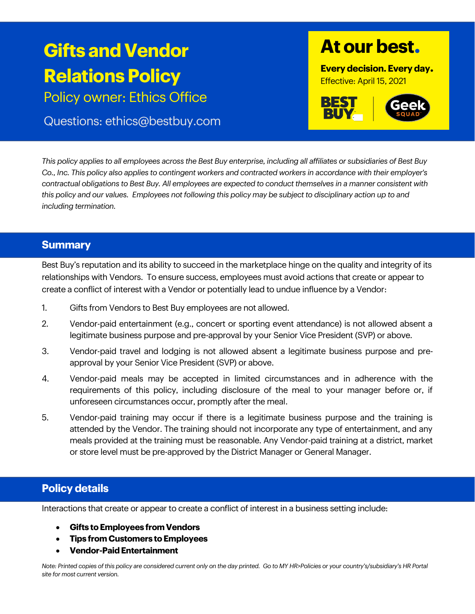# **Gifts and Vendor Relations Policy**

Policy owner: Ethics Office

## Questions: ethics@bestbuy.com

## **At our best.**

**Every decision. Every day.** Effective: April 15, 2021



*This policy applies to all employees across the Best Buy enterprise, including all affiliates or subsidiaries of Best Buy Co., Inc. This policy also applies to contingent workers and contracted workers in accordance with their employer's contractual obligations to Best Buy. All employees are expected to conduct themselves in a manner consistent with this policy and our values. Employees not following this policy may be subject to disciplinary action up to and including termination.*

## **Summary**

Best Buy's reputation and its ability to succeed in the marketplace hinge on the quality and integrity of its relationships with Vendors. To ensure success, employees must avoid actions that create or appear to create a conflict of interest with a Vendor or potentially lead to undue influence by a Vendor:

- 1. Gifts from Vendors to Best Buy employees are not allowed.
- 2. Vendor-paid entertainment (e.g., concert or sporting event attendance) is not allowed absent a legitimate business purpose and pre-approval by your Senior Vice President (SVP) or above.
- 3. Vendor-paid travel and lodging is not allowed absent a legitimate business purpose and preapproval by your Senior Vice President (SVP) or above.
- 4. Vendor-paid meals may be accepted in limited circumstances and in adherence with the requirements of this policy, including disclosure of the meal to your manager before or, if unforeseen circumstances occur, promptly after the meal.
- 5. Vendor-paid training may occur if there is a legitimate business purpose and the training is attended by the Vendor. The training should not incorporate any type of entertainment, and any meals provided at the training must be reasonable. Any Vendor-paid training at a district, market or store level must be pre-approved by the District Manager or General Manager.

## **Policy details**

Interactions that create or appear to create a conflict of interest in a business setting include:

- **Gifts to Employees from Vendors**
- **Tips from Customers to Employees**
- **Vendor-Paid Entertainment**

*Note: Printed copies of this policy are considered current only on the day printed. Go to MY HR>Policies or your country's/subsidiary's HR Portal site for most current version.*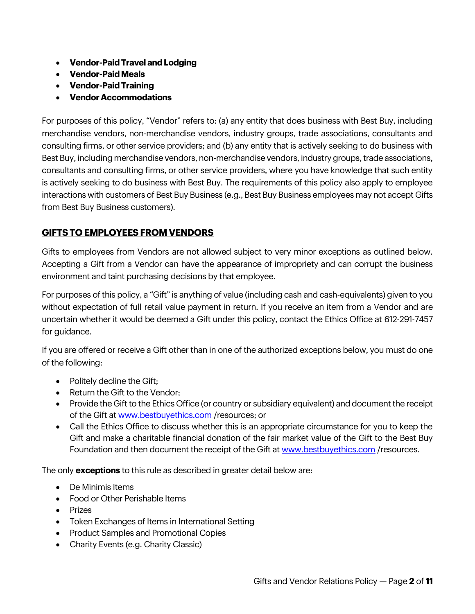- **Vendor-Paid Travel and Lodging**
- **Vendor-Paid Meals**
- **Vendor-Paid Training**
- **Vendor Accommodations**

For purposes of this policy, "Vendor" refers to: (a) any entity that does business with Best Buy, including merchandise vendors, non-merchandise vendors, industry groups, trade associations, consultants and consulting firms, or other service providers; and (b) any entity that is actively seeking to do business with Best Buy, including merchandise vendors, non-merchandise vendors, industry groups, trade associations, consultants and consulting firms, or other service providers, where you have knowledge that such entity is actively seeking to do business with Best Buy. The requirements of this policy also apply to employee interactions with customers of Best Buy Business (e.g., Best Buy Business employees may not accept Gifts from Best Buy Business customers).

#### **GIFTS TO EMPLOYEES FROM VENDORS**

Gifts to employees from Vendors are not allowed subject to very minor exceptions as outlined below. Accepting a Gift from a Vendor can have the appearance of impropriety and can corrupt the business environment and taint purchasing decisions by that employee.

For purposes of this policy, a "Gift" is anything of value (including cash and cash-equivalents) given to you without expectation of full retail value payment in return. If you receive an item from a Vendor and are uncertain whether it would be deemed a Gift under this policy, contact the Ethics Office at 612-291-7457 for guidance.

If you are offered or receive a Gift other than in one of the authorized exceptions below, you must do one of the following:

- Politely decline the Gift;
- Return the Gift to the Vendor:
- Provide the Gift to the Ethics Office (or country or subsidiary equivalent) and document the receipt of the Gift at [www.bestbuyethics.com](http://www.bestbuyethics.com/) /resources; or
- Call the Ethics Office to discuss whether this is an appropriate circumstance for you to keep the Gift and make a charitable financial donation of the fair market value of the Gift to the Best Buy Foundation and then document the receipt of the Gift at [www.bestbuyethics.com](http://www.bestbuyethics.com/) /resources.

The only **exceptions** to this rule as described in greater detail below are:

- De Minimis Items
- Food or Other Perishable Items
- Prizes
- Token Exchanges of Items in International Setting
- Product Samples and Promotional Copies
- Charity Events (e.g. Charity Classic)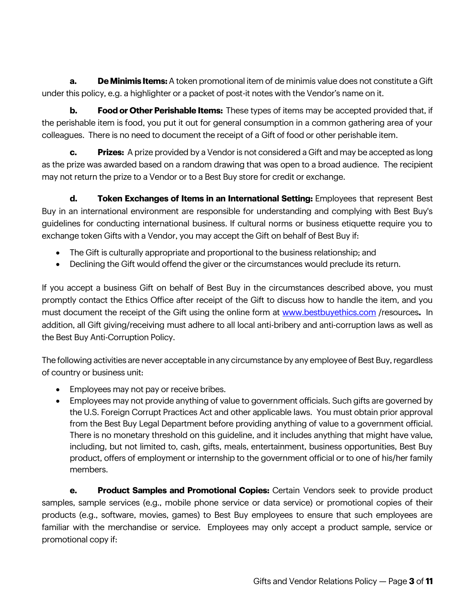**a. De Minimis Items:** A token promotional item of de minimis value does not constitute a Gift under this policy, e.g. a highlighter or a packet of post-it notes with the Vendor's name on it.

**b. Food or Other Perishable Items:** These types of items may be accepted provided that, if the perishable item is food, you put it out for general consumption in a common gathering area of your colleagues. There is no need to document the receipt of a Gift of food or other perishable item.

**c. Prizes:** A prize provided by a Vendor is not considered a Gift and may be accepted as long as the prize was awarded based on a random drawing that was open to a broad audience. The recipient may not return the prize to a Vendor or to a Best Buy store for credit or exchange.

**d. Token Exchanges of Items in an International Setting:** Employees that represent Best Buy in an international environment are responsible for understanding and complying with Best Buy's guidelines for conducting international business. If cultural norms or business etiquette require you to exchange token Gifts with a Vendor, you may accept the Gift on behalf of Best Buy if:

- The Gift is culturally appropriate and proportional to the business relationship; and
- Declining the Gift would offend the giver or the circumstances would preclude its return.

If you accept a business Gift on behalf of Best Buy in the circumstances described above, you must promptly contact the Ethics Office after receipt of the Gift to discuss how to handle the item, and you must document the receipt of the Gift using the online form at [www.bestbuyethics.com](http://www.bestbuyethics.com/) /resources**.** In addition, all Gift giving/receiving must adhere to all local anti-bribery and anti-corruption laws as well as the Best Buy Anti-Corruption Policy.

The following activities are never acceptable in any circumstance by any employee of Best Buy, regardless of country or business unit:

- Employees may not pay or receive bribes.
- Employees may not provide anything of value to government officials. Such gifts are governed by the U.S. Foreign Corrupt Practices Act and other applicable laws. You must obtain prior approval from the Best Buy Legal Department before providing anything of value to a government official. There is no monetary threshold on this guideline, and it includes anything that might have value, including, but not limited to, cash, gifts, meals, entertainment, business opportunities, Best Buy product, offers of employment or internship to the government official or to one of his/her family members.

**e. Product Samples and Promotional Copies:** Certain Vendors seek to provide product samples, sample services (e.g., mobile phone service or data service) or promotional copies of their products (e.g., software, movies, games) to Best Buy employees to ensure that such employees are familiar with the merchandise or service. Employees may only accept a product sample, service or promotional copy if: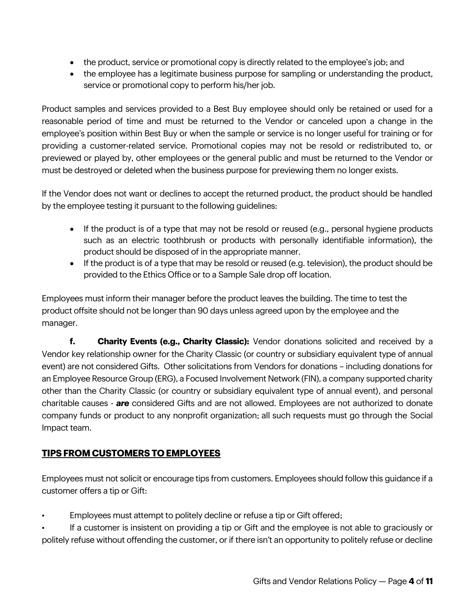- the product, service or promotional copy is directly related to the employee's job; and
- the employee has a legitimate business purpose for sampling or understanding the product, service or promotional copy to perform his/her job.

Product samples and services provided to a Best Buy employee should only be retained or used for a reasonable period of time and must be returned to the Vendor or canceled upon a change in the employee's position within Best Buy or when the sample or service is no longer useful for training or for providing a customer-related service. Promotional copies may not be resold or redistributed to, or previewed or played by, other employees or the general public and must be returned to the Vendor or must be destroyed or deleted when the business purpose for previewing them no longer exists.

If the Vendor does not want or declines to accept the returned product, the product should be handled by the employee testing it pursuant to the following guidelines:

- If the product is of a type that may not be resold or reused (e.g., personal hygiene products such as an electric toothbrush or products with personally identifiable information), the product should be disposed of in the appropriate manner.
- If the product is of a type that may be resold or reused (e.g. television), the product should be provided to the Ethics Office or to a Sample Sale drop off location.

Employees must inform their manager before the product leaves the building. The time to test the product offsite should not be longer than 90 days unless agreed upon by the employee and the manager.

**f. Charity Events (e.g., Charity Classic):** Vendor donations solicited and received by a Vendor key relationship owner for the Charity Classic (or country or subsidiary equivalent type of annual event) are not considered Gifts. Other solicitations from Vendors for donations – including donations for an Employee Resource Group (ERG), a Focused Involvement Network (FIN), a company supported charity other than the Charity Classic (or country or subsidiary equivalent type of annual event), and personal charitable causes - *are* considered Gifts and are not allowed. Employees are not authorized to donate company funds or product to any nonprofit organization; all such requests must go through the Social Impact team.

## **TIPS FROM CUSTOMERS TO EMPLOYEES**

Employees must not solicit or encourage tips from customers. Employees should follow this guidance if a customer offers a tip or Gift:

• Employees must attempt to politely decline or refuse a tip or Gift offered;

• If a customer is insistent on providing a tip or Gift and the employee is not able to graciously or politely refuse without offending the customer, or if there isn't an opportunity to politely refuse or decline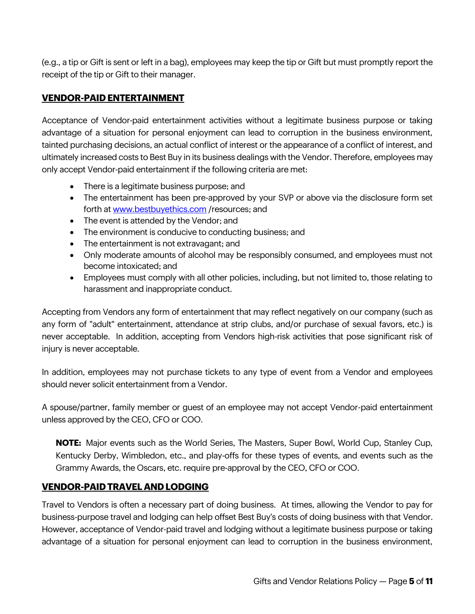(e.g., a tip or Gift is sent or left in a bag), employees may keep the tip or Gift but must promptly report the receipt of the tip or Gift to their manager.

#### **VENDOR-PAID ENTERTAINMENT**

Acceptance of Vendor-paid entertainment activities without a legitimate business purpose or taking advantage of a situation for personal enjoyment can lead to corruption in the business environment, tainted purchasing decisions, an actual conflict of interest or the appearance of a conflict of interest, and ultimately increased costs to Best Buy in its business dealings with the Vendor. Therefore, employees may only accept Vendor-paid entertainment if the following criteria are met:

- There is a legitimate business purpose; and
- The entertainment has been pre-approved by your SVP or above via the disclosure form set forth at [www.bestbuyethics.com](http://www.bestbuyethics.com/) /resources; and
- The event is attended by the Vendor; and
- The environment is conducive to conducting business; and
- The entertainment is not extravagant; and
- Only moderate amounts of alcohol may be responsibly consumed, and employees must not become intoxicated; and
- Employees must comply with all other policies, including, but not limited to, those relating to harassment and inappropriate conduct.

Accepting from Vendors any form of entertainment that may reflect negatively on our company (such as any form of "adult" entertainment, attendance at strip clubs, and/or purchase of sexual favors, etc.) is never acceptable. In addition, accepting from Vendors high-risk activities that pose significant risk of injury is never acceptable.

In addition, employees may not purchase tickets to any type of event from a Vendor and employees should never solicit entertainment from a Vendor.

A spouse/partner, family member or guest of an employee may not accept Vendor-paid entertainment unless approved by the CEO, CFO or COO.

**NOTE:** Major events such as the World Series, The Masters, Super Bowl, World Cup, Stanley Cup, Kentucky Derby, Wimbledon, etc., and play-offs for these types of events, and events such as the Grammy Awards, the Oscars, etc. require pre-approval by the CEO, CFO or COO.

#### **VENDOR-PAID TRAVEL AND LODGING**

Travel to Vendors is often a necessary part of doing business. At times, allowing the Vendor to pay for business-purpose travel and lodging can help offset Best Buy's costs of doing business with that Vendor. However, acceptance of Vendor-paid travel and lodging without a legitimate business purpose or taking advantage of a situation for personal enjoyment can lead to corruption in the business environment,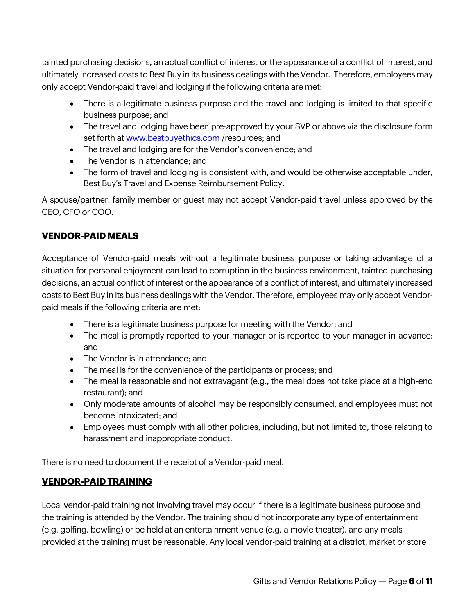tainted purchasing decisions, an actual conflict of interest or the appearance of a conflict of interest, and ultimately increased costs to Best Buy in its business dealings with the Vendor. Therefore, employees may only accept Vendor-paid travel and lodging if the following criteria are met:

- There is a legitimate business purpose and the travel and lodging is limited to that specific business purpose; and
- The travel and lodging have been pre-approved by your SVP or above via the disclosure form set forth a[t www.bestbuyethics.com](http://www.bestbuyethics.com/) /resources; and
- The travel and lodging are for the Vendor's convenience; and
- The Vendor is in attendance; and
- The form of travel and lodging is consistent with, and would be otherwise acceptable under, Best Buy's Travel and Expense Reimbursement Policy.

A spouse/partner, family member or guest may not accept Vendor-paid travel unless approved by the CEO, CFO or COO.

## **VENDOR-PAID MEALS**

Acceptance of Vendor-paid meals without a legitimate business purpose or taking advantage of a situation for personal enjoyment can lead to corruption in the business environment, tainted purchasing decisions, an actual conflict of interest or the appearance of a conflict of interest, and ultimately increased costs to Best Buy in its business dealings with the Vendor. Therefore, employees may only accept Vendorpaid meals if the following criteria are met:

- There is a legitimate business purpose for meeting with the Vendor; and
- The meal is promptly reported to your manager or is reported to your manager in advance; and
- The Vendor is in attendance: and
- The meal is for the convenience of the participants or process; and
- The meal is reasonable and not extravagant (e.g., the meal does not take place at a high-end restaurant); and
- Only moderate amounts of alcohol may be responsibly consumed, and employees must not become intoxicated; and
- Employees must comply with all other policies, including, but not limited to, those relating to harassment and inappropriate conduct.

There is no need to document the receipt of a Vendor-paid meal.

## **VENDOR-PAID TRAINING**

Local vendor-paid training not involving travel may occur if there is a legitimate business purpose and the training is attended by the Vendor. The training should not incorporate any type of entertainment (e.g. golfing, bowling) or be held at an entertainment venue (e.g. a movie theater), and any meals provided at the training must be reasonable. Any local vendor-paid training at a district, market or store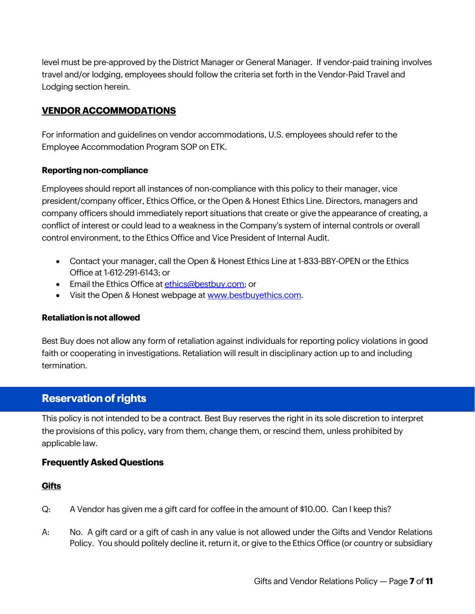level must be pre-approved by the District Manager or General Manager. If vendor-paid training involves travel and/or lodging, employees should follow the criteria set forth in the Vendor-Paid Travel and Lodging section herein.

#### **VENDOR ACCOMMODATIONS**

For information and guidelines on vendor accommodations, U.S. employees should refer to the Employee Accommodation Program SOP on ETK.

#### **Reporting non-compliance**

Employees should report all instances of non-compliance with this policy to their manager, vice president/company officer, Ethics Office, or the Open & Honest Ethics Line. Directors, managers and company officers should immediately report situations that create or give the appearance of creating, a conflict of interest or could lead to a weakness in the Company's system of internal controls or overall control environment, to the Ethics Office and Vice President of Internal Audit.

- Contact your manager, call the Open & Honest Ethics Line at 1-833-BBY-OPEN or the Ethics Office at 1-612-291-6143; or
- Email the Ethics Office at [ethics@bestbuy.com;](mailto:ethics@bestbuy.com) or
- Visit the Open & Honest webpage at [www.bestbuyethics.com.](http://www.bestbuyethics.com/)

#### **Retaliation is not allowed**

Best Buy does not allow any form of retaliation against individuals for reporting policy violations in good faith or cooperating in investigations. Retaliation will result in disciplinary action up to and including termination.

## **Reservation of rights**

This policy is not intended to be a contract. Best Buy reserves the right in its sole discretion to interpret the provisions of this policy, vary from them, change them, or rescind them, unless prohibited by applicable law.

#### **Frequently Asked Questions**

#### **Gifts**

- Q: A Vendor has given me a gift card for coffee in the amount of \$10.00. Can I keep this?
- A: No. A gift card or a gift of cash in any value is not allowed under the Gifts and Vendor Relations Policy. You should politely decline it, return it, or give to the Ethics Office (or country or subsidiary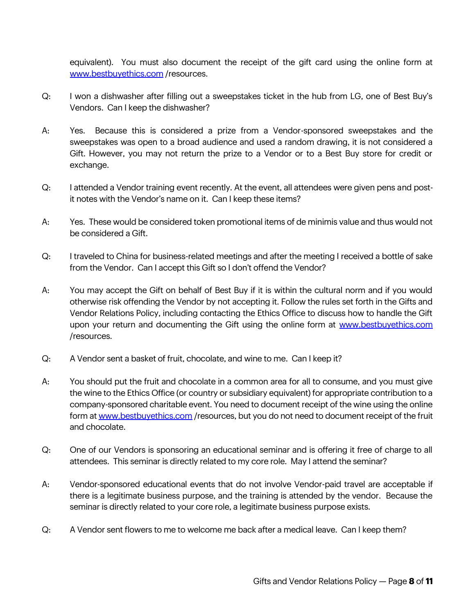equivalent). You must also document the receipt of the gift card using the online form at [www.bestbuyethics.com](http://www.bestbuyethics.com/) /resources.

- Q: I won a dishwasher after filling out a sweepstakes ticket in the hub from LG, one of Best Buy's Vendors. Can I keep the dishwasher?
- A: Yes. Because this is considered a prize from a Vendor-sponsored sweepstakes and the sweepstakes was open to a broad audience and used a random drawing, it is not considered a Gift. However, you may not return the prize to a Vendor or to a Best Buy store for credit or exchange.
- Q: I attended a Vendor training event recently. At the event, all attendees were given pens and postit notes with the Vendor's name on it. Can I keep these items?
- A: Yes. These would be considered token promotional items of de minimis value and thus would not be considered a Gift.
- Q: I traveled to China for business-related meetings and after the meeting I received a bottle of sake from the Vendor. Can I accept this Gift so I don't offend the Vendor?
- A: You may accept the Gift on behalf of Best Buy if it is within the cultural norm and if you would otherwise risk offending the Vendor by not accepting it. Follow the rules set forth in the Gifts and Vendor Relations Policy, including contacting the Ethics Office to discuss how to handle the Gift upon your return and documenting the Gift using the online form at [www.bestbuyethics.com](http://www.bestbuyethics.com/) /resources.
- Q: A Vendor sent a basket of fruit, chocolate, and wine to me. Can I keep it?
- A: You should put the fruit and chocolate in a common area for all to consume, and you must give the wine to the Ethics Office (or country or subsidiary equivalent) for appropriate contribution to a company-sponsored charitable event. You need to document receipt of the wine using the online form at [www.bestbuyethics.com](http://www.bestbuyethics.com/) /resources, but you do not need to document receipt of the fruit and chocolate.
- Q: One of our Vendors is sponsoring an educational seminar and is offering it free of charge to all attendees. This seminar is directly related to my core role. May I attend the seminar?
- A: Vendor-sponsored educational events that do not involve Vendor-paid travel are acceptable if there is a legitimate business purpose, and the training is attended by the vendor. Because the seminar is directly related to your core role, a legitimate business purpose exists.
- Q: A Vendor sent flowers to me to welcome me back after a medical leave. Can I keep them?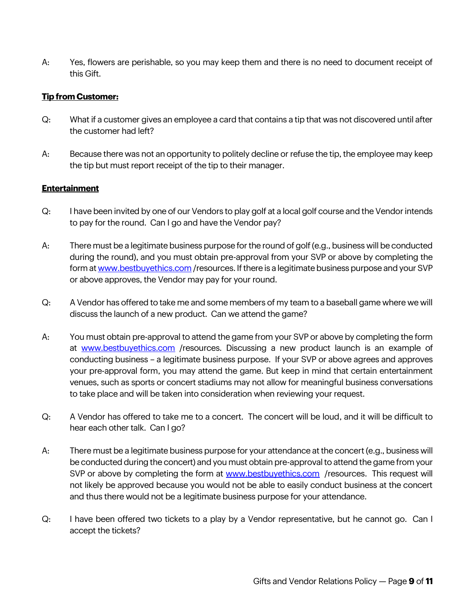A: Yes, flowers are perishable, so you may keep them and there is no need to document receipt of this Gift.

#### **Tip from Customer:**

- Q: What if a customer gives an employee a card that contains a tip that was not discovered until after the customer had left?
- A: Because there was not an opportunity to politely decline or refuse the tip, the employee may keep the tip but must report receipt of the tip to their manager.

#### **Entertainment**

- Q: I have been invited by one of our Vendors to play golf at a local golf course and the Vendor intends to pay for the round. Can I go and have the Vendor pay?
- A: There must be a legitimate business purpose for the round of golf (e.g., business will be conducted during the round), and you must obtain pre-approval from your SVP or above by completing the form a[t www.bestbuyethics.com](http://www.bestbuyethics.com/) /resources. If there is a legitimate business purpose and your SVP or above approves, the Vendor may pay for your round.
- Q: A Vendor has offered to take me and some members of my team to a baseball game where we will discuss the launch of a new product. Can we attend the game?
- A: You must obtain pre-approval to attend the game from your SVP or above by completing the form at [www.bestbuyethics.com](http://www.bestbuyethics.com/) /resources. Discussing a new product launch is an example of conducting business – a legitimate business purpose. If your SVP or above agrees and approves your pre-approval form, you may attend the game. But keep in mind that certain entertainment venues, such as sports or concert stadiums may not allow for meaningful business conversations to take place and will be taken into consideration when reviewing your request.
- Q: A Vendor has offered to take me to a concert. The concert will be loud, and it will be difficult to hear each other talk. Can I go?
- A: There must be a legitimate business purpose for your attendance at the concert (e.g., business will be conducted during the concert) and you must obtain pre-approval to attend the game from your SVP or above by completing the form at [www.bestbuyethics.com](http://www.bestbuyethics.com/) /resources. This request will not likely be approved because you would not be able to easily conduct business at the concert and thus there would not be a legitimate business purpose for your attendance.
- Q: I have been offered two tickets to a play by a Vendor representative, but he cannot go. Can I accept the tickets?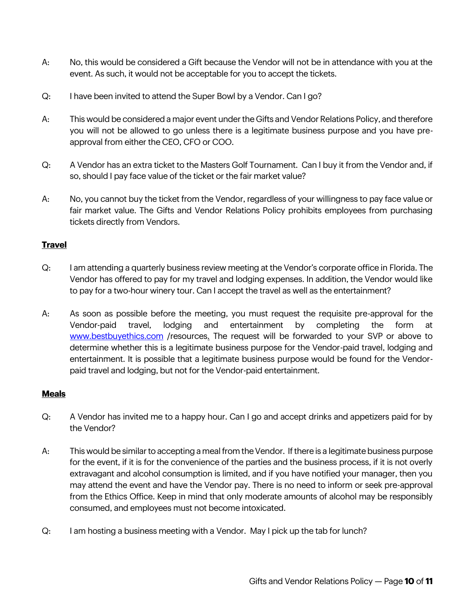- A: No, this would be considered a Gift because the Vendor will not be in attendance with you at the event. As such, it would not be acceptable for you to accept the tickets.
- Q: I have been invited to attend the Super Bowl by a Vendor. Can I go?
- A: This would be considered a major event under the Gifts and Vendor Relations Policy, and therefore you will not be allowed to go unless there is a legitimate business purpose and you have preapproval from either the CEO, CFO or COO.
- Q: A Vendor has an extra ticket to the Masters Golf Tournament. Can I buy it from the Vendor and, if so, should I pay face value of the ticket or the fair market value?
- A: No, you cannot buy the ticket from the Vendor, regardless of your willingness to pay face value or fair market value. The Gifts and Vendor Relations Policy prohibits employees from purchasing tickets directly from Vendors.

#### **Travel**

- Q: I am attending a quarterly business review meeting at the Vendor's corporate office in Florida. The Vendor has offered to pay for my travel and lodging expenses. In addition, the Vendor would like to pay for a two-hour winery tour. Can I accept the travel as well as the entertainment?
- A: As soon as possible before the meeting, you must request the requisite pre-approval for the Vendor-paid travel, lodging and entertainment by completing the form at [www.bestbuyethics.com](http://www.bestbuyethics.com/) /resources. The request will be forwarded to your SVP or above to determine whether this is a legitimate business purpose for the Vendor-paid travel, lodging and entertainment. It is possible that a legitimate business purpose would be found for the Vendorpaid travel and lodging, but not for the Vendor-paid entertainment.

#### **Meals**

- Q: A Vendor has invited me to a happy hour. Can I go and accept drinks and appetizers paid for by the Vendor?
- A: This would be similar to accepting a meal from the Vendor. If there is a legitimate business purpose for the event, if it is for the convenience of the parties and the business process, if it is not overly extravagant and alcohol consumption is limited, and if you have notified your manager, then you may attend the event and have the Vendor pay. There is no need to inform or seek pre-approval from the Ethics Office. Keep in mind that only moderate amounts of alcohol may be responsibly consumed, and employees must not become intoxicated.
- Q: I am hosting a business meeting with a Vendor. May I pick up the tab for lunch?